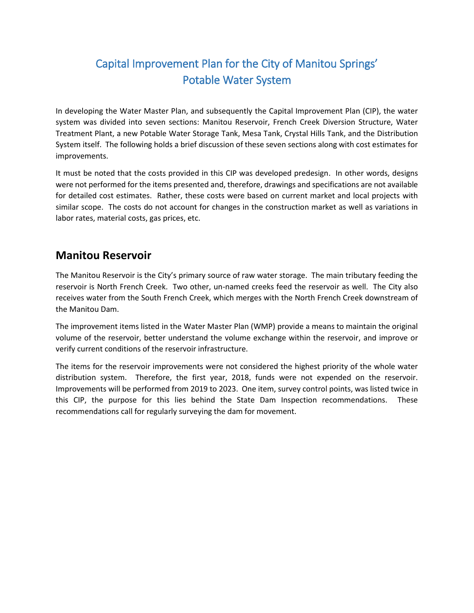# Capital Improvement Plan for the City of Manitou Springs' Potable Water System

In developing the Water Master Plan, and subsequently the Capital Improvement Plan (CIP), the water system was divided into seven sections: Manitou Reservoir, French Creek Diversion Structure, Water Treatment Plant, a new Potable Water Storage Tank, Mesa Tank, Crystal Hills Tank, and the Distribution System itself. The following holds a brief discussion of these seven sections along with cost estimates for improvements.

It must be noted that the costs provided in this CIP was developed predesign. In other words, designs were not performed for the items presented and, therefore, drawings and specifications are not available for detailed cost estimates. Rather, these costs were based on current market and local projects with similar scope. The costs do not account for changes in the construction market as well as variations in labor rates, material costs, gas prices, etc.

### **Manitou Reservoir**

The Manitou Reservoir is the City's primary source of raw water storage. The main tributary feeding the reservoir is North French Creek. Two other, un-named creeks feed the reservoir as well. The City also receives water from the South French Creek, which merges with the North French Creek downstream of the Manitou Dam.

The improvement items listed in the Water Master Plan (WMP) provide a means to maintain the original volume of the reservoir, better understand the volume exchange within the reservoir, and improve or verify current conditions of the reservoir infrastructure.

The items for the reservoir improvements were not considered the highest priority of the whole water distribution system. Therefore, the first year, 2018, funds were not expended on the reservoir. Improvements will be performed from 2019 to 2023. One item, survey control points, was listed twice in this CIP, the purpose for this lies behind the State Dam Inspection recommendations. These recommendations call for regularly surveying the dam for movement.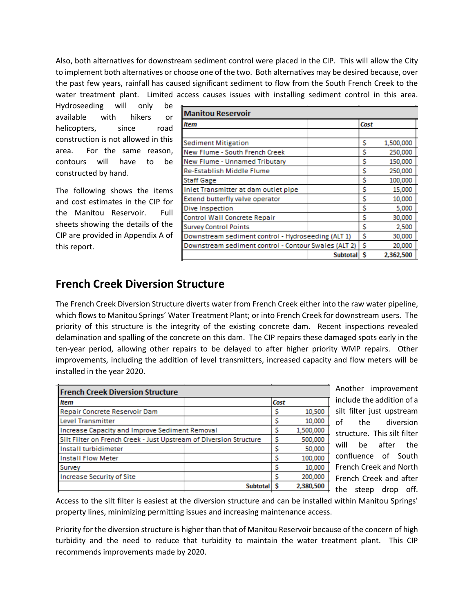Also, both alternatives for downstream sediment control were placed in the CIP. This will allow the City to implement both alternatives or choose one of the two. Both alternatives may be desired because, over the past few years, rainfall has caused significant sediment to flow from the South French Creek to the water treatment plant. Limited access causes issues with installing sediment control in this area.

Hydroseeding will only be available with hikers or helicopters, since road construction is not allowed in this area. For the same reason, contours will have to be constructed by hand.

The following shows the items and cost estimates in the CIP for the Manitou Reservoir. Full sheets showing the details of the CIP are provided in Appendix A of this report.

| <b>Manitou Reservoir</b>                             |                 |      |           |  |
|------------------------------------------------------|-----------------|------|-----------|--|
| <b>Item</b>                                          |                 | Cost |           |  |
|                                                      |                 |      |           |  |
| <b>Sediment Mitigation</b>                           |                 | Ś    | 1,500,000 |  |
| New Flume - South French Creek                       |                 | Ś    | 250,000   |  |
| New Flume - Unnamed Tributary                        |                 | Ś    | 150,000   |  |
| Re-Establish Middle Flume                            |                 | Ś    | 250,000   |  |
| <b>Staff Gage</b>                                    |                 | Ś    | 100,000   |  |
| Inlet Transmitter at dam outlet pipe                 |                 | Ś    | 15,000    |  |
| Extend butterfly valve operator                      |                 | Ś    | 10,000    |  |
| Dive Inspection                                      |                 | Ś    | 5,000     |  |
| Control Wall Concrete Repair                         |                 | Ś    | 30,000    |  |
| <b>Survey Control Points</b>                         |                 | Ś    | 2,500     |  |
| Downstream sediment control - Hydroseeding (ALT 1)   |                 | Ś    | 30,000    |  |
| Downstream sediment control - Contour Swales (ALT 2) |                 | Ś    | 20,000    |  |
|                                                      | <b>Subtotal</b> | Ŝ    | 2.362.500 |  |

### **French Creek Diversion Structure**

The French Creek Diversion Structure diverts water from French Creek either into the raw water pipeline, which flows to Manitou Springs' Water Treatment Plant; or into French Creek for downstream users. The priority of this structure is the integrity of the existing concrete dam. Recent inspections revealed delamination and spalling of the concrete on this dam. The CIP repairs these damaged spots early in the ten-year period, allowing other repairs to be delayed to after higher priority WMP repairs. Other improvements, including the addition of level transmitters, increased capacity and flow meters will be installed in the year 2020.

| <b>French Creek Diversion Structure</b>                            |                 |           |
|--------------------------------------------------------------------|-----------------|-----------|
| <b>Item</b>                                                        | Cost            |           |
| Repair Concrete Reservoir Dam                                      |                 | 10,500    |
| <b>Level Transmitter</b>                                           |                 | 10,000    |
| Increase Capacity and Improve Sediment Removal                     |                 | 1,500,000 |
| Silt Filter on French Creek - Just Upstream of Diversion Structure |                 | 500,000   |
| Install turbidimeter                                               |                 | 50,000    |
| <b>Install Flow Meter</b>                                          |                 | 100,000   |
| Survey                                                             |                 | 10,000    |
| <b>Increase Security of Site</b>                                   |                 | 200,000   |
|                                                                    | <b>Subtotal</b> | 2,380,500 |

Another improvement include the addition of a silt filter just upstream of the diversion structure. This silt filter will be after the confluence of South French Creek and North French Creek and after the steep drop off.

Access to the silt filter is easiest at the diversion structure and can be installed within Manitou Springs' property lines, minimizing permitting issues and increasing maintenance access.

Priority for the diversion structure is higher than that of Manitou Reservoir because of the concern of high turbidity and the need to reduce that turbidity to maintain the water treatment plant. This CIP recommends improvements made by 2020.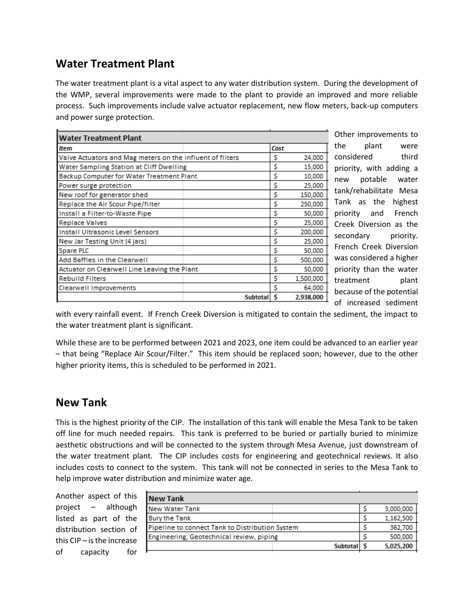# **Water Treatment Plant**

The water treatment plant is a vital aspect to any water distribution system. During the development of the WMP, several improvements were made to the plant to provide an improved and more reliable process. Such improvements include valve actuator replacement, new flow meters, back-up computers and power surge protection.

| <b>Water Treatment Plant</b>                              |  |                 |        |           |
|-----------------------------------------------------------|--|-----------------|--------|-----------|
| ltem                                                      |  |                 | Cost   |           |
| Valve Actuators and Mag meters on the influent of fliters |  | s               | 24,000 |           |
| Water Sampling Station at Cliff Dwelling                  |  |                 | s      | 15,000    |
| <b>Backup Computer for Water Treatment Plant</b>          |  |                 | s      | 10,000    |
| Power surge protection                                    |  |                 | Ś      | 25,000    |
| New roof for generator shed                               |  |                 | s      | 150,000   |
| Replace the Air Scour Pipe/filter                         |  |                 | Ś      | 250,000   |
| Install a Filter-to-Waste Pipe                            |  |                 | Ś      | 50,000    |
| <b>Replace Valves</b>                                     |  |                 | Ś      | 25,000    |
| <b>Install Ultrasonic Level Sensors</b>                   |  |                 | Ś      | 200,000   |
| New Jar Testing Unit (4 jars)                             |  |                 | Ś      | 25,000    |
| Spare PLC                                                 |  |                 | Ś      | 50,000    |
| Add Baffles in the Clearwell                              |  |                 | Ś      | 500,000   |
| Actuator on Clearwell Line Leaving the Plant              |  |                 | Ś      | 50,000    |
| <b>Rebuild Filters</b>                                    |  |                 | Ś      | 1,500,000 |
| Clearwell Improvements                                    |  |                 | Ś      | 64,000    |
|                                                           |  | <b>Subtotal</b> | S      | 2,938,000 |

Other improvements to the plant were considered third priority, with adding a new potable water tank/rehabilitate Mesa Tank as the highest priority and French Creek Diversion as the secondary priority. French Creek Diversion was considered a higher priority than the water treatment plant because of the potential of increased sediment

with every rainfall event. If French Creek Diversion is mitigated to contain the sediment, the impact to the water treatment plant is significant.

While these are to be performed between 2021 and 2023, one item could be advanced to an earlier year – that being "Replace Air Scour/Filter." This item should be replaced soon; however, due to the other higher priority items, this is scheduled to be performed in 2021.

#### **New Tank**

This is the highest priority of the CIP. The installation of this tank will enable the Mesa Tank to be taken off line for much needed repairs. This tank is preferred to be buried or partially buried to minimize aesthetic obstructions and will be connected to the system through Mesa Avenue, just downstream of the water treatment plant. The CIP includes costs for engineering and geotechnical reviews. It also includes costs to connect to the system. This tank will not be connected in series to the Mesa Tank to help improve water distribution and minimize water age.

Another aspect of this project – although listed as part of the distribution section of this CIP – is the increase of capacity for

| <b>New Tank</b>                                 |  |           |
|-------------------------------------------------|--|-----------|
| <b>New Water Tank</b>                           |  | 3,000,000 |
| <b>Bury the Tank</b>                            |  | 1.162.500 |
| Pipeline to connect Tank to Distribution System |  | 362,700   |
| Engineering, Geotechnical review, piping        |  | 500,000   |
| <b>Subtotal</b>                                 |  | 5,025,200 |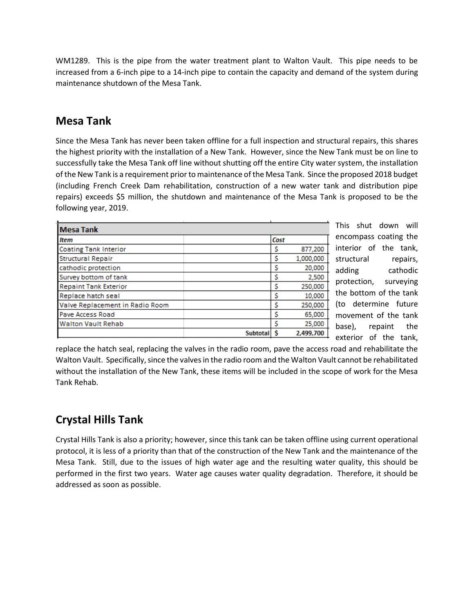WM1289. This is the pipe from the water treatment plant to Walton Vault. This pipe needs to be increased from a 6-inch pipe to a 14-inch pipe to contain the capacity and demand of the system during maintenance shutdown of the Mesa Tank.

### **Mesa Tank**

Since the Mesa Tank has never been taken offline for a full inspection and structural repairs, this shares the highest priority with the installation of a New Tank. However, since the New Tank must be on line to successfully take the Mesa Tank off line without shutting off the entire City water system, the installation of the New Tank is a requirement prior to maintenance of the Mesa Tank. Since the proposed 2018 budget (including French Creek Dam rehabilitation, construction of a new water tank and distribution pipe repairs) exceeds \$5 million, the shutdown and maintenance of the Mesa Tank is proposed to be the following year, 2019.

| Cost<br><b>Item</b><br><b>Coating Tank Interior</b><br>877,200<br>s<br>1,000,000<br><b>Structural Repair</b><br>s<br>20,000<br>cathodic protection<br>s<br>Survey bottom of tank<br>2,500<br>s<br>Ś<br>250,000<br><b>Repaint Tank Exterior</b><br>s<br>10,000<br>Replace hatch seal<br>Ś<br>250,000<br>Valve Replacement in Radio Room<br>Ś<br>65,000<br><b>Pave Access Road</b><br>25,000<br><b>Walton Vault Rehab</b><br>2.499.700<br><b>Subtota</b> |                  |  |  |
|--------------------------------------------------------------------------------------------------------------------------------------------------------------------------------------------------------------------------------------------------------------------------------------------------------------------------------------------------------------------------------------------------------------------------------------------------------|------------------|--|--|
|                                                                                                                                                                                                                                                                                                                                                                                                                                                        | <b>Mesa Tank</b> |  |  |
|                                                                                                                                                                                                                                                                                                                                                                                                                                                        |                  |  |  |
|                                                                                                                                                                                                                                                                                                                                                                                                                                                        |                  |  |  |
|                                                                                                                                                                                                                                                                                                                                                                                                                                                        |                  |  |  |
|                                                                                                                                                                                                                                                                                                                                                                                                                                                        |                  |  |  |
|                                                                                                                                                                                                                                                                                                                                                                                                                                                        |                  |  |  |
|                                                                                                                                                                                                                                                                                                                                                                                                                                                        |                  |  |  |
|                                                                                                                                                                                                                                                                                                                                                                                                                                                        |                  |  |  |
|                                                                                                                                                                                                                                                                                                                                                                                                                                                        |                  |  |  |
|                                                                                                                                                                                                                                                                                                                                                                                                                                                        |                  |  |  |
|                                                                                                                                                                                                                                                                                                                                                                                                                                                        |                  |  |  |
|                                                                                                                                                                                                                                                                                                                                                                                                                                                        |                  |  |  |

This shut down will encompass coating the interior of the tank, structural repairs, adding cathodic protection, surveying the bottom of the tank (to determine future movement of the tank base), repaint the exterior of the tank,

replace the hatch seal, replacing the valves in the radio room, pave the access road and rehabilitate the Walton Vault. Specifically, since the valves in the radio room and the Walton Vault cannot be rehabilitated without the installation of the New Tank, these items will be included in the scope of work for the Mesa Tank Rehab.

### **Crystal Hills Tank**

Crystal Hills Tank is also a priority; however, since this tank can be taken offline using current operational protocol, it is less of a priority than that of the construction of the New Tank and the maintenance of the Mesa Tank. Still, due to the issues of high water age and the resulting water quality, this should be performed in the first two years. Water age causes water quality degradation. Therefore, it should be addressed as soon as possible.